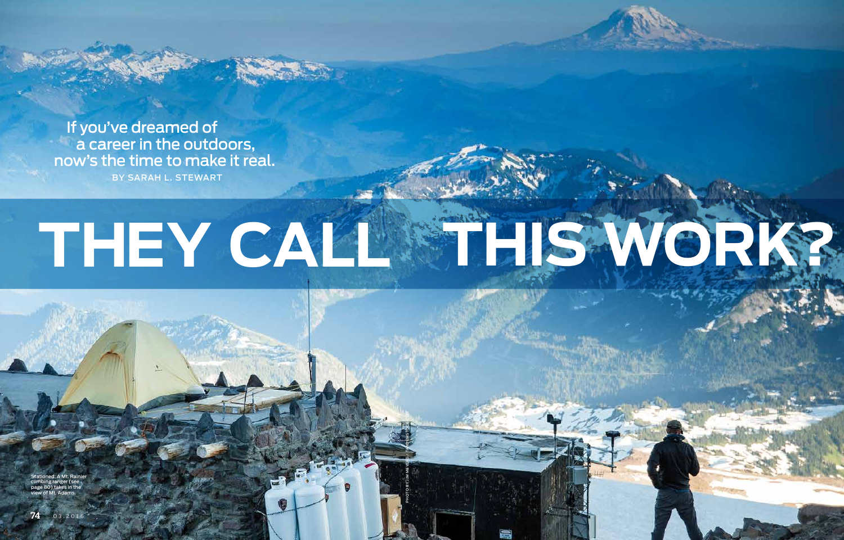PHOTO BY JIM MEYERS / TANDEMSTOCK.COM



 If you've dreamed of a career in the outdoors, now's the time to make it real.

Stationed: A Mt. Rainier climbing ranger (see page 80) takes in the view of Mt. Adams.

BY SARAH L. STEWART

# THEY CALL THIS WORK?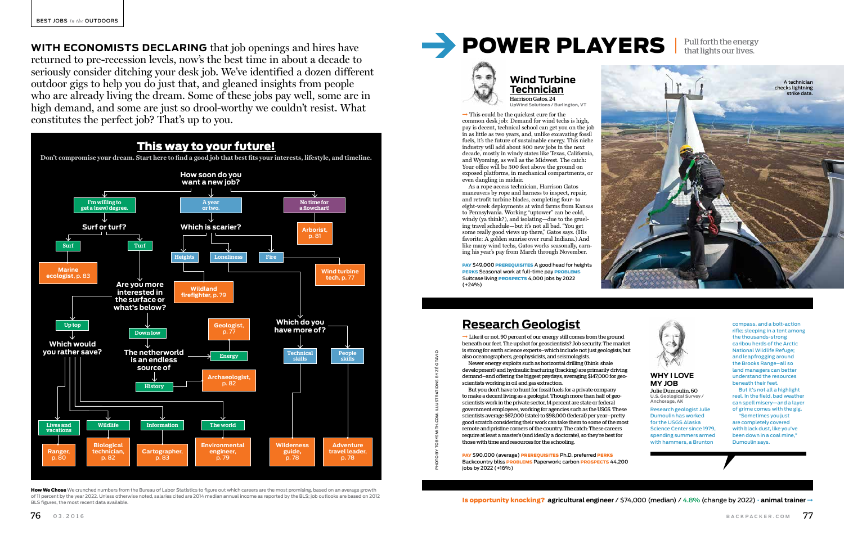**WITH ECONOMISTS DECLARING** that job openings and hires have returned to pre-recession levels, now's the best time in about a decade to seriously consider ditching your desk job. We've identified a dozen different outdoor gigs to help you do just that, and gleaned insights from people who are already living the dream. Some of these jobs pay well, some are in high demand, and some are just so drool-worthy we couldn't resist. What constitutes the perfect job? That's up to you.



How We Chose We crunched numbers from the Bureau of Labor Statistics to figure out which careers are the most promising, based on an average growth of 11 percent by the year 2022. Unless otherwise noted, salaries cited are 2014 median annual income as reported by the BLS; job outlooks are based on 2012 BLS figures, the most recent data available. **and model, Salaries Cited are 2014 median annual income as reported by the BLS; job outlooks are based on 2012<br>
<b>Is opportunity knocking? agricultural engineer / \$74,000 (media** 

# **POWER PLAYERS** Pull forth the energy that lights our lives.



 $\rightarrow$  This could be the quickest cure for the common desk job: Demand for wind techs is high, pay is decent, technical school can get you on the job in as little as two years, and, unlike excavating fossil fuels, it's the future of sustainable energy. This niche industry will add about 800 new jobs in the next decade, mostly in windy states like Texas, California, and Wyoming, as well as the Midwest. The catch: Your office will be 300 feet above the ground on exposed platforms, in mechanical compartments, or even dangling in midair.

PAY \$49,000 PREREQUISITES A good head for heights PERKS Seasonal work at full-time pay PROBLEMS Suitcase living PROSPECTS 4,000 jobs by 2022 (+24%)

> But it's not all a highlight reel. In the field, bad weather can spell misery—and a layer of grime comes with the gig.

 $\rightarrow$  Like it or not, 90 percent of our energy still comes from the ground beneath our feet. The upshot for geoscientists? Job security. The market is strong for earth science experts—which include not just geologists, but also oceanographers, geophysicists, and seismologists.

As a rope access technician, Harrison Gatos maneuvers by rope and harness to inspect, repair, and retrofit turbine blades, completing four- to eight-week deployments at wind farms from Kansas to Pennsylvania. Working "uptower" can be cold, windy (ya think?), and isolating—due to the grueling travel schedule—but it's not all bad. "You get some really good views up there," Gatos says. (His favorite: A golden sunrise over rural Indiana.) And like many wind techs, Gatos works seasonally, earning his year's pay from March through November.

#### **Wind Turbine Technician** Harrison Gatos, 24

**UpWind Solutions / Burlington, VT** 

#### **WHY I LOVE MY JOB**

Julie Dumoulin, 60 **U.S. Geological Survey / Anchorage, AK** 

Research geologist Julie Dumoulin has worked for the USGS Alaska Science Center since 1979, spending summers armed with hammers, a Brunton

compass, and a bolt-action rifle; sleeping in a tent among the thousands-strong caribou herds of the Arctic National Wildlife Refuge; and leapfrogging around the Brooks Range–all so land managers can better understand the resources beneath their feet.

"Sometimes you just are completely covered with black dust, like you've been down in a coal mine," Dumoulin says.

Newer energy exploits such as horizontal drilling (think: shale development) and hydraulic fracturing (fracking) are primarily driving demand—and offering the biggest paydays, averaging \$147,000 for geoscientists working in oil and gas extraction.

But you don't have to hunt for fossil fuels for a private company to make a decent living as a geologist. Though more than half of geoscientists work in the private sector, 14 percent are state or federal government employees, working for agencies such as the USGS. These scientists average \$67,000 (state) to \$98,000 (federal) per year—pretty good scratch considering their work can take them to some of the most remote and pristine corners of the country. The catch: These careers require at least a master's (and ideally a doctorate), so they're best for those with time and resources for the schooling.

PAY \$90,000 (average) PREREQUISITES Ph.D. preferred PERKS Backcountry bliss **PROBLEMS** Paperwork; carbon **PROSPECTS** 44,200 jobs by 2022 (+16%)

# **Research Geologist**



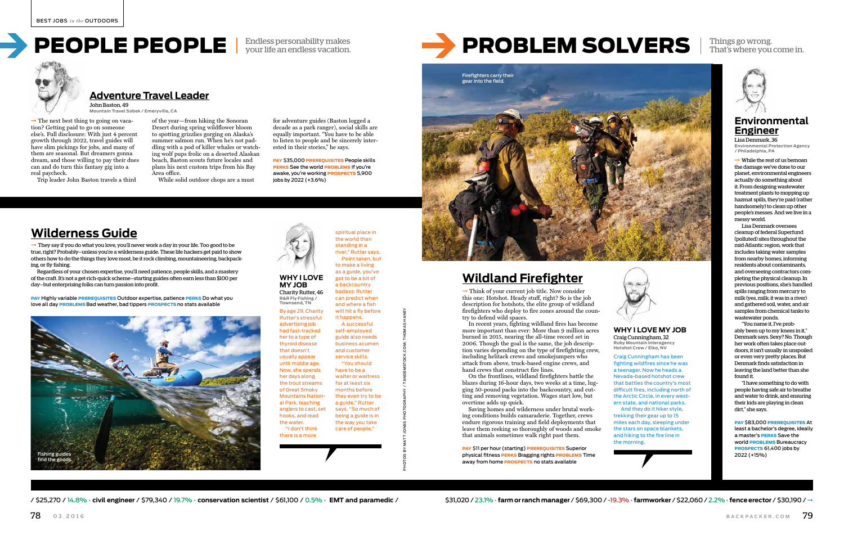$\rightarrow$  They say if you do what you love, you'll never work a day in your life. Too good to be true, right? Probably—unless you're a wilderness guide. These life hackers get paid to show others how to do the things they love most, be it rock climbing, mountaineering, backpacking, or fly fishing.

your life an endless vacation.



Regardless of your chosen expertise, you'll need patience, people skills, and a mastery of the craft. It's not a get-rich-quick scheme—starting guides often earn less than \$100 per day—but enterprising folks can turn passion into profit.

PAY Highly variable PREREQUISITES Outdoor expertise, patience PERKS Do what you love all day **PROBLEMS** Bad weather, bad tippers **PROSPECTS** no stats available

# **Wilderness Guide**

**WHY I LOVE MY JOB** Charity Rutter, 46 **R&R Fly Fishing / Townsend, TN**

 $\rightarrow$  Think of your current job title. Now consider this one: Hotshot. Heady stuff, right? So is the job description for hotshots, the elite group of wildland firefighters who deploy to fire zones around the country to defend wild spaces.

spiritual place in the world than



By age 29, Charity Rutter's stressful advertising job had fast-tracked her to a type of thyroid disease that doesn't usually appear until middle age. Now, she spends her days along the trout streams of Great Smoky Mountains National Park, teaching anglers to cast, set hooks, and read the water. "I don't think there is a more the way you take care of people."

standing in a river," Rutter says. Point taken, but to make a living as a guide, you've got to be a bit of a backcountry badass: Rutter can predict when and where a fish will hit a fly before it happens. A successful self-employed business acumen and customer service skills. "You should have to be a waiter or waitress for at least six months before they even try to be a guide," Rutter says. "So much of being a guide is in



 $\rightarrow$  While the rest of us bemoan the damage we've done to our planet, environmental engineers actually do something about it. From designing wastewater treatment plants to mopping up hazmat spills, they're paid (rather handsomely) to clean up other people's messes. And we live in a messy world.

PHOTOS BY MATT JONES PHOTOGRAPHY / TANDEMSTOCK.COM; THOMAS HANEY

# That's where you come in.



In recent years, fighting wildland fires has become more important than ever: More than 9 million acres burned in 2015, nearing the all-time record set in 2006. Though the goal is the same, the job description varies depending on the type of firefighting crew, including helitack crews and smokejumpers who attack from above, truck-based engine crews, and hand crews that construct fire lines.

 $\rightarrow$  The next best thing to going on vacation? Getting paid to go on someone else's. Full disclosure: With just 4 percent growth through 2022, travel guides will have slim pickings for jobs, and many of them are seasonal. But dreamers gonna dream, and those willing to pay their dues can and do turn this fantasy gig into a real paycheck.

> On the frontlines, wildland firefighters battle the blazes during 16-hour days, two weeks at a time, lugging 50-pound packs into the backcountry, and cutting and removing vegetation. Wages start low, but overtime adds up quick.

Saving homes and wilderness under brutal working conditions builds camaraderie. Together, crews endure rigorous training and field deployments that leave them reeking so thoroughly of woods and smoke that animals sometimes walk right past them.

**PAY S11 per hour (starting) PREREQUISITES Superior** physical fitness PERKS Bragging rights PROBLEMS Time away from home **PROSPECTS** no stats available

/ 225.270 / 14.8% • civil engineer / \$79.340 / 19.7% • conservation scientist / \$61.100 / 0.5% • EMT and paramedic / \$31.020 / 23.1% • farm or ranch manager / \$69.300 / -19.3% • farmworker / \$22.060 / 2.2% • fence erector

# PROBLEM SOLVERS | Things go wrong.



**PAY \$35,000 PREREQUISITES People skills** PERKS See the world PROBLEMS If you're awake, you're working **PROSPECTS** 5,900 jobs by 2022 (+3.6%)

> Lisa Denmark oversees cleanup of federal Superfund (polluted) sites throughout the mid-Atlantic region, work that includes taking water samples from nearby homes, informing residents about contaminants, and overseeing contractors completing the physical cleanup. In previous positions, she's handled spills ranging from mercury to milk (yes, milk; it was in a river) and gathered soil, water, and air samples from chemical tanks to wastewater ponds.

> "You name it, I've probably been up to my knees in it," Denmark says. Sexy? No. Though her work often takes place outdoors, it isn't usually in unspoiled or even very pretty places. But Denmark finds satisfaction in leaving the land better than she found it.

 "I have something to do with people having safe air to breathe and water to drink, and ensuring their kids are playing in clean dirt," she says.

PAY \$83,000 PREREQUISITES At least a bachelor's degree, ideally a master's PERKS Save the world PROBLEMS Bureaucracy PROSPECTS 61,400 jobs by 2022 (+15%)

#### **WHY I LOVE MY JOB** Craig Cunningham, 32

**Ruby Mountain Interagency Hotshot Crew / Elko, NV** 

Craig Cunningham has been fighting wildfires since he was a teenager. Now he heads a Nevada-based hotshot crew that battles the country's most difficult fires, including north of the Arctic Circle, in every western state, and national parks. And they do it hiker style, trekking their gear up to 15 miles each day, sleeping under the stars on space blankets and hiking to the fire line in the morning.

# **Wildland Firefighter**

### **Environmental Engineer**

Lisa Denmark, 36 **Environmental Protection Agency / Philadelphia, PA**

Trip leader John Baston travels a third

of the year—from hiking the Sonoran Desert during spring wildflower bloom to spotting grizzlies gorging on Alaska's summer salmon run. When he's not paddling with a pod of killer whales or watching wolf pups frolic on a deserted Alaskan beach, Baston scouts future locales and plans his next custom trips from his Bay Area office.

While solid outdoor chops are a must

for adventure guides (Baston logged a decade as a park ranger), social skills are equally important. "You have to be able to listen to people and be sincerely interested in their stories," he says.

**Adventure Travel Leader**

John Baston, 49 **Mountain Travel Sobek / Emeryville, CA**

# PEOPLE PEOPLE Endless personability makes



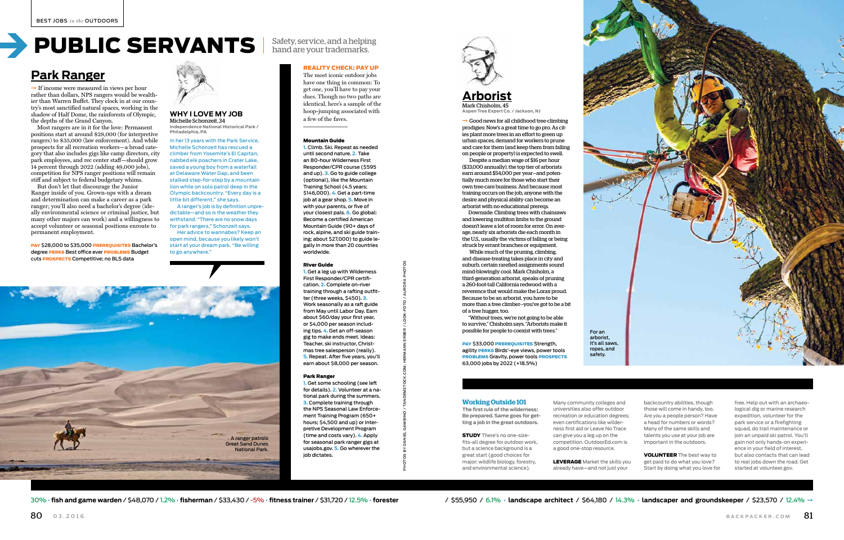

hand are your trademarks.

#### **Working Outside 101**

**The first rule of the wilderness: Be prepared. Same goes for getting a job in the great outdoors.** 

> **LEVERAGE** Market the skills you already have—and not just your

30% · fish and game warden / \$48.070 / 12% · fisherman / \$33.430 / -5% · fitness trainer / \$31.720 / 12.5% · forester / \$55.950 / 6.1% · landscape architect / \$64.180 / 14.3% · landscaper and groundskeeper / \$23.570 / 12.

STUDY There's no one-sizefits-all degree for outdoor work, but a science background is a great start (good choices for major: wildlife biology, forestry, and environmental science).

Many community colleges and universities also offer outdoor recreation or education degrees; even certifications like wilderness first aid or Leave No Trace can give you a leg up on the competition. OutdoorEd. com is a good one-stop resource.

 $\rightarrow$  Good news for all childhood tree-climbing prodigies: Now's a great time to go pro. As cities plant more trees in an effort to green up urban spaces, demand for workers to prune and care for them (and keep them from falling on people or property) is expected to swell.

> backcountry abilities, though those will come in handy, too. Are you a people person? Have a head for numbers or words? Many of the same skills and talents you use at your job are important in the outdoors.

VOLUNTEER The best way to get paid to do what you love? Start by doing what you love for

free. Help out with an archaeological dig or marine research expedition, volunteer for the park service or a firefighting squad, do trail maintenance or join an unpaid ski patrol. You'll gain not only hands-on experience in your field of interest, but also contacts that can lead to real jobs down the road. Get started at volunteer.gov.

PHOTOS BY DANIEL GAMBINO / TANDEMSTOCK.COM; HERMANN ERBER / LOOK-FOTO / AURORA PHOTOS



 $\rightarrow$  If income were measured in views per hour rather than dollars, NPS rangers would be wealthier than Warren Buffet. They clock in at our country's most sanctified natural spaces, working in the shadow of Half Dome, the rainforests of Olympic, the depths of the Grand Canyon.

> Despite a median wage of \$16 per hour (\$33,000 annually), the top tier of arborists earn around \$54,000 per year—and potentially much more for those who start their own tree-care business. And because most training occurs on the job, anyone with the desire and physical ability can become an arborist with no educational prereqs.

Downside: Climbing trees with chainsaws and lowering multiton limbs to the ground doesn't leave a lot of room for error. On average, nearly six arborists die each month in the U.S., usually the victims of falling or being struck by errant branches or equipment.

 While much of the pruning, climbing, and disease-treating takes place in city and suburb, certain rarefied assignments sound mind-blowingly cool. Mark Chisholm, a third-generation arborist, speaks of pruning a 260-foot-tall California redwood with a reverence that would make the Lorax proud. Because to be an arborist, you have to be more than a tree climber—you've got to be a bit of a tree hugger, too.

"Without trees, we're not going to be able to survive," Chisholm says. "Arborists make it possible for people to coexist with trees."

#### PAY \$33,000 PREREQUISITES Strength, agility **PERKS** Birds'-eye views, power tools PROBLEMS Gravity, power tools PROSPECTS 63,000 jobs by 2022 (+18.5%)

#### **Arborist** Mark Chisholm, 45

**Aspen Tree Expert Co. / Jackson, NJ**

Most rangers are in it for the love: Permanent positions start at around \$28,000 (for interpretive rangers) to \$35,000 (law enforcement). And while prospects for all recreation workers—a broad category that also includes gigs like camp directors, city park employees, and rec center staff—should grow 14 percent through 2022 (adding 49,000 jobs), competition for NPS ranger positions will remain stiff and subject to federal budgetary whims.

But don't let that discourage the Junior Ranger inside of you. Grown-ups with a dream and determination can make a career as a park ranger; you'll also need a bachelor's degree (ideally environmental science or criminal justice, but many other majors can work) and a willingness to accept volunteer or seasonal positions enroute to permanent employment.

PAY \$28,000 to \$35,000 PREREQUISITES Bachelor's degree PERKS Best office ever PROBLEMS Budget cuts PROSPECTS Competitive; no BLS data



#### **WHY I LOVE MY JOB** Michelle Schonzeit, 34 **Independence National Historical Park /**

**Philadelphia, PA** In her 13 years with the Park Service, Michelle Schonzeit has rescued a climber from Yosemite's El Capitan, nabbed elk poachers in Crater Lake,

saved a young boy from a waterfall at Delaware Water Gap, and been stalked step-for-step by a mountain lion while on solo patrol deep in the Olympic backcountry. "Every day is a little bit different," she says.

 A ranger's job is by definition unpredictable—and so is the weather they withstand. "There are no snow days for park rangers," Schonzeit says.

 Her advice to wannabes? Keep an open mind, because you likely won't start at your dream park. "Be willing to go anywhere."

# **Park Ranger**

#### REALITY CHECK: PAY UP

The most iconic outdoor jobs have one thing in common: To get one, you'll have to pay your dues. Though no two paths are identical, here's a sample of the hoop-jumping associated with a few of the faves.

#### Mountain Guide

**1.** Climb. Ski. Repeat as needed until second nature. **2.** Take an 80-hour Wilderness First Responder/CPR course (\$595 and up). **3.** Go to guide college (optional), like the Mountain Training School (4.5 years; \$146,000). **4.** Get a part-time job at a gear shop. **5.** Move in with your parents, or five of your closest pals. **6.** Go global: Become a certified American Mountain Guide (90+ days of rock, alpine, and ski guide training; about \$27,000) to guide legally in more than 20 countries worldwide.

#### River Guide

**1.** Get a leg up with Wilderness First Responder/CPR certification. **2.** Complete on-river training through a rafting outfitter (three weeks, \$450). **3.** Work seasonally as a raft guide from May until Labor Day. Earn about \$60/day your first year, or \$4,000 per season including tips. **4.** Get an off-season gig to make ends meet. Ideas: Teacher, ski instructor, Christmas tree salesperson (really). **5.** Repeat. After five years, you'll earn about \$8,000 per season.

#### Park Ranger

**1.** Get some schooling (see left for details). **2.** Volunteer at a national park during the summers. **3.** Complete training through the NPS Seasonal Law Enforcement Training Program (650+ hours; \$4,500 and up) or Interpretive Development Program (time and costs vary). **4.** Apply for seasonal park ranger gigs at usajobs.gov. **5.** Go wherever the job dictates.



For an arborist, it's all saws, ropes, and safety.

# PUBLIC SERVANTS Safety, service, and a helping